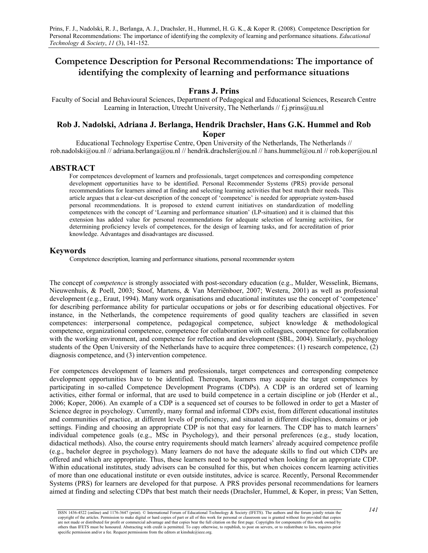# **Competence Description for Personal Recommendations: The importance of identifying the complexity of learning and performance situations**

#### **Frans J. Prins**

Faculty of Social and Behavioural Sciences, Department of Pedagogical and Educational Sciences, Research Centre Learning in Interaction, Utrecht University, The Netherlands // f.j.prins@uu.nl

## **Rob J. Nadolski, Adriana J. Berlanga, Hendrik Drachsler, Hans G.K. Hummel and Rob Koper**

Educational Technology Expertise Centre, Open University of the Netherlands, The Netherlands // rob.nadolski@ou.nl // adriana.berlanga@ou.nl // hendrik.drachsler@ou.nl // hans.hummel@ou.nl // rob.koper@ou.nl

#### **ABSTRACT**

For competences development of learners and professionals, target competences and corresponding competence development opportunities have to be identified. Personal Recommender Systems (PRS) provide personal recommendations for learners aimed at finding and selecting learning activities that best match their needs. This article argues that a clear-cut description of the concept of 'competence' is needed for appropriate system-based personal recommendations. It is proposed to extend current initiatives on standardization of modelling competences with the concept of 'Learning and performance situation' (LP-situation) and it is claimed that this extension has added value for personal recommendations for adequate selection of learning activities, for determining proficiency levels of competences, for the design of learning tasks, and for accreditation of prior knowledge. Advantages and disadvantages are discussed.

#### **Keywords**

Competence description, learning and performance situations, personal recommender system

The concept of *competence* is strongly associated with post-secondary education (e.g., Mulder, Wesselink, Biemans, Nieuwenhuis, & Poell, 2003; Stoof, Martens, & Van Merriënboer, 2007; Westera, 2001) as well as professional development (e.g., Eraut, 1994). Many work organisations and educational institutes use the concept of 'competence' for describing performance ability for particular occupations or jobs or for describing educational objectives. For instance, in the Netherlands, the competence requirements of good quality teachers are classified in seven competences: interpersonal competence, pedagogical competence, subject knowledge & methodological competence, organizational competence, competence for collaboration with colleagues, competence for collaboration with the working environment, and competence for reflection and development (SBL, 2004). Similarly, psychology students of the Open University of the Netherlands have to acquire three competences: (1) research competence, (2) diagnosis competence, and (3) intervention competence.

For competences development of learners and professionals, target competences and corresponding competence development opportunities have to be identified. Thereupon, learners may acquire the target competences by participating in so-called Competence Development Programs (CDPs). A CDP is an ordered set of learning activities, either formal or informal, that are used to build competence in a certain discipline or job (Herder et al., 2006; Koper, 2006). An example of a CDP is a sequenced set of courses to be followed in order to get a Master of Science degree in psychology. Currently, many formal and informal CDPs exist, from different educational institutes and communities of practice, at different levels of proficiency, and situated in different disciplines, domains or job settings. Finding and choosing an appropriate CDP is not that easy for learners. The CDP has to match learners' individual competence goals (e.g., MSc in Psychology), and their personal preferences (e.g., study location, didactical methods). Also, the course entry requirements should match learners' already acquired competence profile (e.g., bachelor degree in psychology). Many learners do not have the adequate skills to find out which CDPs are offered and which are appropriate. Thus, these learners need to be supported when looking for an appropriate CDP. Within educational institutes, study advisers can be consulted for this, but when choices concern learning activities of more than one educational institute or even outside institutes, advice is scarce. Recently, Personal Recommender Systems (PRS) for learners are developed for that purpose. A PRS provides personal recommendations for learners aimed at finding and selecting CDPs that best match their needs (Drachsler, Hummel, & Koper, in press; Van Setten,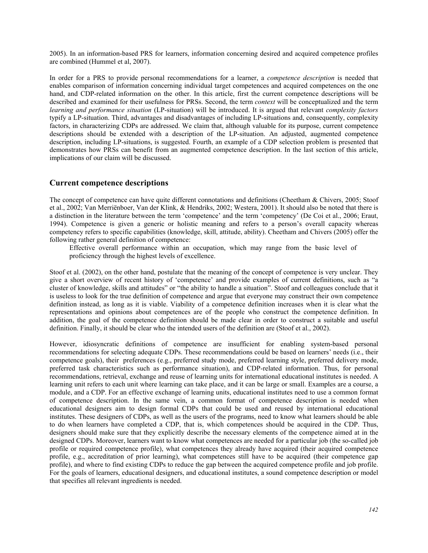2005). In an information-based PRS for learners, information concerning desired and acquired competence profiles are combined (Hummel et al, 2007).

In order for a PRS to provide personal recommendations for a learner, a *competence description* is needed that enables comparison of information concerning individual target competences and acquired competences on the one hand, and CDP-related information on the other. In this article, first the current competence descriptions will be described and examined for their usefulness for PRSs. Second, the term *context* will be conceptualized and the term *learning and performance situation* (LP-situation) will be introduced. It is argued that relevant *complexity factors* typify a LP-situation. Third, advantages and disadvantages of including LP-situations and, consequently, complexity factors, in characterizing CDPs are addressed. We claim that, although valuable for its purpose, current competence descriptions should be extended with a description of the LP-situation. An adjusted, augmented competence description, including LP-situations, is suggested. Fourth, an example of a CDP selection problem is presented that demonstrates how PRSs can benefit from an augmented competence description. In the last section of this article, implications of our claim will be discussed.

### **Current competence descriptions**

The concept of competence can have quite different connotations and definitions (Cheetham & Chivers, 2005; Stoof et al., 2002; Van Merriënboer, Van der Klink, & Hendriks, 2002; Westera, 2001). It should also be noted that there is a distinction in the literature between the term 'competence' and the term 'competency' (De Coi et al., 2006; Eraut, 1994). Competence is given a generic or holistic meaning and refers to a person's overall capacity whereas competency refers to specific capabilities (knowledge, skill, attitude, ability). Cheetham and Chivers (2005) offer the following rather general definition of competence:

Effective overall performance within an occupation, which may range from the basic level of proficiency through the highest levels of excellence.

Stoof et al. (2002), on the other hand, postulate that the meaning of the concept of competence is very unclear. They give a short overview of recent history of 'competence' and provide examples of current definitions, such as "a cluster of knowledge, skills and attitudes" or "the ability to handle a situation". Stoof and colleagues conclude that it is useless to look for the true definition of competence and argue that everyone may construct their own competence definition instead, as long as it is viable. Viability of a competence definition increases when it is clear what the representations and opinions about competences are of the people who construct the competence definition. In addition, the goal of the competence definition should be made clear in order to construct a suitable and useful definition. Finally, it should be clear who the intended users of the definition are (Stoof et al., 2002).

However, idiosyncratic definitions of competence are insufficient for enabling system-based personal recommendations for selecting adequate CDPs. These recommendations could be based on learners' needs (i.e., their competence goals), their preferences (e.g., preferred study mode, preferred learning style, preferred delivery mode, preferred task characteristics such as performance situation), and CDP-related information. Thus, for personal recommendations, retrieval, exchange and reuse of learning units for international educational institutes is needed. A learning unit refers to each unit where learning can take place, and it can be large or small. Examples are a course, a module, and a CDP. For an effective exchange of learning units, educational institutes need to use a common format of competence description. In the same vein, a common format of competence description is needed when educational designers aim to design formal CDPs that could be used and reused by international educational institutes. These designers of CDPs, as well as the users of the programs, need to know what learners should be able to do when learners have completed a CDP, that is, which competences should be acquired in the CDP. Thus, designers should make sure that they explicitly describe the necessary elements of the competence aimed at in the designed CDPs. Moreover, learners want to know what competences are needed for a particular job (the so-called job profile or required competence profile), what competences they already have acquired (their acquired competence profile, e.g., accreditation of prior learning), what competences still have to be acquired (their competence gap profile), and where to find existing CDPs to reduce the gap between the acquired competence profile and job profile. For the goals of learners, educational designers, and educational institutes, a sound competence description or model that specifies all relevant ingredients is needed.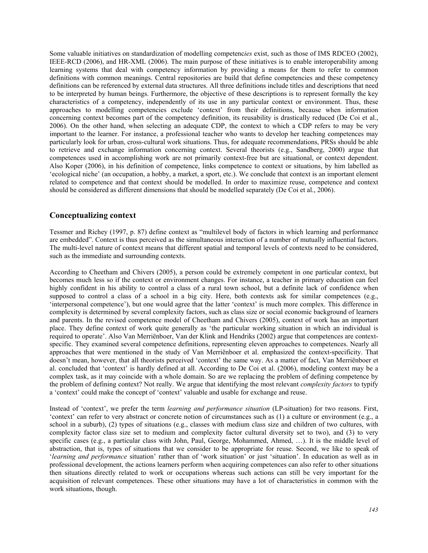Some valuable initiatives on standardization of modelling competenc*ies* exist, such as those of IMS RDCEO (2002), IEEE-RCD (2006), and HR-XML (2006). The main purpose of these initiatives is to enable interoperability among learning systems that deal with competency information by providing a means for them to refer to common definitions with common meanings. Central repositories are build that define competencies and these competency definitions can be referenced by external data structures. All three definitions include titles and descriptions that need to be interpreted by human beings. Furthermore, the objective of these descriptions is to represent formally the key characteristics of a competency, independently of its use in any particular context or environment. Thus, these approaches to modelling competencies exclude 'context' from their definitions, because when information concerning context becomes part of the competency definition, its reusability is drastically reduced (De Coi et al., 2006). On the other hand, when selecting an adequate CDP, the context to which a CDP refers to may be very important to the learner. For instance, a professional teacher who wants to develop her teaching competences may particularly look for urban, cross-cultural work situations. Thus, for adequate recommendations, PRSs should be able to retrieve and exchange information concerning context. Several theorists (e.g., Sandberg, 2000) argue that competences used in accomplishing work are not primarily context-free but are situational, or context dependent. Also Koper (2006), in his definition of competence, links competence to context or situations, by him labelled as 'ecological niche' (an occupation, a hobby, a market, a sport, etc.). We conclude that context is an important element related to competence and that context should be modelled. In order to maximize reuse, competence and context should be considered as different dimensions that should be modelled separately (De Coi et al., 2006).

## **Conceptualizing context**

Tessmer and Richey (1997, p. 87) define context as "multilevel body of factors in which learning and performance are embedded". Context is thus perceived as the simultaneous interaction of a number of mutually influential factors. The multi-level nature of context means that different spatial and temporal levels of contexts need to be considered, such as the immediate and surrounding contexts.

According to Cheetham and Chivers (2005), a person could be extremely competent in one particular context, but becomes much less so if the context or environment changes. For instance, a teacher in primary education can feel highly confident in his ability to control a class of a rural town school, but a definite lack of confidence when supposed to control a class of a school in a big city. Here, both contexts ask for similar competences (e.g., 'interpersonal competence'), but one would agree that the latter 'context' is much more complex. This difference in complexity is determined by several complexity factors, such as class size or social economic background of learners and parents. In the revised competence model of Cheetham and Chivers (2005), context of work has an important place. They define context of work quite generally as 'the particular working situation in which an individual is required to operate'. Also Van Merriënboer, Van der Klink and Hendriks (2002) argue that competences are contextspecific. They examined several competence definitions, representing eleven approaches to competences. Nearly all approaches that were mentioned in the study of Van Merriënboer et al. emphasized the context-specificity. That doesn't mean, however, that all theorists perceived 'context' the same way. As a matter of fact, Van Merriënboer et al. concluded that 'context' is hardly defined at all. According to De Coi et al. (2006), modeling context may be a complex task, as it may coincide with a whole domain. So are we replacing the problem of defining competence by the problem of defining context? Not really. We argue that identifying the most relevant *complexity factors* to typify a 'context' could make the concept of 'context' valuable and usable for exchange and reuse.

Instead of 'context', we prefer the term *learning and performance situation* (LP-situation) for two reasons. First, 'context' can refer to very abstract or concrete notion of circumstances such as (1) a culture or environment (e.g., a school in a suburb), (2) types of situations (e.g., classes with medium class size and children of two cultures, with complexity factor class size set to medium and complexity factor cultural diversity set to two), and (3) to very specific cases (e.g., a particular class with John, Paul, George, Mohammed, Ahmed, …). It is the middle level of abstraction, that is, types of situations that we consider to be appropriate for reuse. Second, we like to speak of '*learning and performance* situation' rather than of 'work situation' or just 'situation'. In education as well as in professional development, the actions learners perform when acquiring competences can also refer to other situations then situations directly related to work or occupations whereas such actions can still be very important for the acquisition of relevant competences. These other situations may have a lot of characteristics in common with the work situations, though.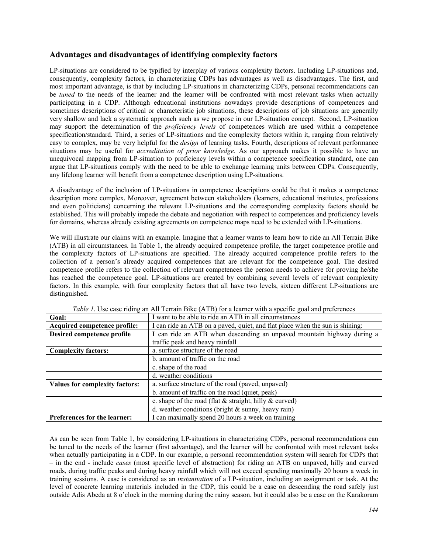## **Advantages and disadvantages of identifying complexity factors**

LP-situations are considered to be typified by interplay of various complexity factors. Including LP-situations and, consequently, complexity factors, in characterizing CDPs has advantages as well as disadvantages. The first, and most important advantage, is that by including LP-situations in characterizing CDPs, personal recommendations can be *tuned* to the needs of the learner and the learner will be confronted with most relevant tasks when actually participating in a CDP. Although educational institutions nowadays provide descriptions of competences and sometimes descriptions of critical or characteristic job situations, these descriptions of job situations are generally very shallow and lack a systematic approach such as we propose in our LP-situation concept. Second, LP-situation may support the determination of the *proficiency levels* of competences which are used within a competence specification/standard. Third, a series of LP-situations and the complexity factors within it, ranging from relatively easy to complex, may be very helpful for the *design* of learning tasks. Fourth, descriptions of relevant performance situations may be useful for *accreditation of prior knowledge*. As our approach makes it possible to have an unequivocal mapping from LP-situation to proficiency levels within a competence specification standard, one can argue that LP-situations comply with the need to be able to exchange learning units between CDPs. Consequently, any lifelong learner will benefit from a competence description using LP-situations.

A disadvantage of the inclusion of LP-situations in competence descriptions could be that it makes a competence description more complex. Moreover, agreement between stakeholders (learners, educational institutes, professions and even politicians) concerning the relevant LP-situations and the corresponding complexity factors should be established. This will probably impede the debate and negotiation with respect to competences and proficiency levels for domains, whereas already existing agreements on competence maps need to be extended with LP-situations.

We will illustrate our claims with an example. Imagine that a learner wants to learn how to ride an All Terrain Bike (ATB) in all circumstances. In Table 1, the already acquired competence profile, the target competence profile and the complexity factors of LP-situations are specified. The already acquired competence profile refers to the collection of a person's already acquired competences that are relevant for the competence goal. The desired competence profile refers to the collection of relevant competences the person needs to achieve for proving he/she has reached the competence goal. LP-situations are created by combining several levels of relevant complexity factors. In this example, with four complexity factors that all have two levels, sixteen different LP-situations are distinguished.

| <b>Goal:</b>                          | I want to be able to ride an ATB in all circumstances                        |  |
|---------------------------------------|------------------------------------------------------------------------------|--|
| Acquired competence profile:          | I can ride an ATB on a paved, quiet, and flat place when the sun is shining: |  |
| Desired competence profile            | I can ride an ATB when descending an unpaved mountain highway during a       |  |
|                                       | traffic peak and heavy rainfall                                              |  |
| <b>Complexity factors:</b>            | a. surface structure of the road                                             |  |
|                                       | b. amount of traffic on the road                                             |  |
|                                       | c. shape of the road                                                         |  |
|                                       | d. weather conditions                                                        |  |
| <b>Values for complexity factors:</b> | a. surface structure of the road (paved, unpaved)                            |  |
|                                       | b. amount of traffic on the road (quiet, peak)                               |  |
|                                       | c. shape of the road (flat $\&$ straight, hilly $\&$ curved)                 |  |
|                                       | d. weather conditions (bright $\&$ sunny, heavy rain)                        |  |
| <b>Preferences for the learner:</b>   | I can maximally spend 20 hours a week on training                            |  |

*Table 1*. Use case riding an All Terrain Bike (ATB) for a learner with a specific goal and preferences

As can be seen from Table 1, by considering LP-situations in characterizing CDPs, personal recommendations can be tuned to the needs of the learner (first advantage), and the learner will be confronted with most relevant tasks when actually participating in a CDP. In our example, a personal recommendation system will search for CDPs that – in the end - include *cases* (most specific level of abstraction) for riding an ATB on unpaved, hilly and curved roads, during traffic peaks and during heavy rainfall which will not exceed spending maximally 20 hours a week in training sessions. A case is considered as an *instantiation* of a LP-situation, including an assignment or task. At the level of concrete learning materials included in the CDP, this could be a case on descending the road safely just outside Adis Abeda at 8 o'clock in the morning during the rainy season, but it could also be a case on the Karakoram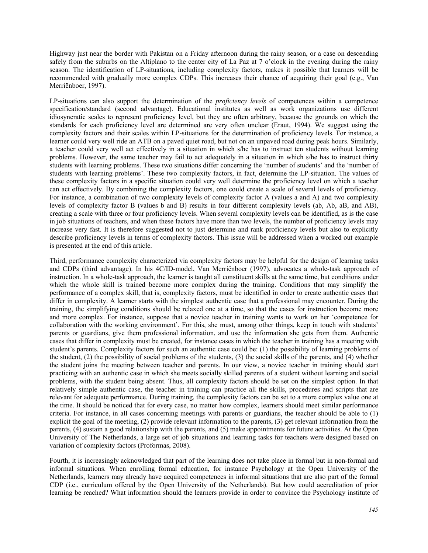Highway just near the border with Pakistan on a Friday afternoon during the rainy season, or a case on descending safely from the suburbs on the Altiplano to the center city of La Paz at 7 o'clock in the evening during the rainy season. The identification of LP-situations, including complexity factors, makes it possible that learners will be recommended with gradually more complex CDPs. This increases their chance of acquiring their goal (e.g., Van Merriënboer, 1997).

LP-situations can also support the determination of the *proficiency levels* of competences within a competence specification/standard (second advantage). Educational institutes as well as work organizations use different idiosyncratic scales to represent proficiency level, but they are often arbitrary, because the grounds on which the standards for each proficiency level are determined are very often unclear (Eraut, 1994). We suggest using the complexity factors and their scales within LP-situations for the determination of proficiency levels. For instance, a learner could very well ride an ATB on a paved quiet road, but not on an unpaved road during peak hours. Similarly, a teacher could very well act effectively in a situation in which s/he has to instruct ten students without learning problems. However, the same teacher may fail to act adequately in a situation in which s/he has to instruct thirty students with learning problems. These two situations differ concerning the 'number of students' and the 'number of students with learning problems'. These two complexity factors, in fact, determine the LP-situation. The values of these complexity factors in a specific situation could very well determine the proficiency level on which a teacher can act effectively. By combining the complexity factors, one could create a scale of several levels of proficiency. For instance, a combination of two complexity levels of complexity factor A (values a and A) and two complexity levels of complexity factor B (values b and B) results in four different complexity levels (ab, Ab, aB, and AB), creating a scale with three or four proficiency levels. When several complexity levels can be identified, as is the case in job situations of teachers, and when these factors have more than two levels, the number of proficiency levels may increase very fast. It is therefore suggested not to just determine and rank proficiency levels but also to explicitly describe proficiency levels in terms of complexity factors. This issue will be addressed when a worked out example is presented at the end of this article.

Third, performance complexity characterized via complexity factors may be helpful for the design of learning tasks and CDPs (third advantage). In his 4C/ID-model, Van Merriënboer (1997), advocates a whole-task approach of instruction. In a whole-task approach, the learner is taught all constituent skills at the same time, but conditions under which the whole skill is trained become more complex during the training. Conditions that may simplify the performance of a complex skill, that is, complexity factors, must be identified in order to create authentic cases that differ in complexity. A learner starts with the simplest authentic case that a professional may encounter. During the training, the simplifying conditions should be relaxed one at a time, so that the cases for instruction become more and more complex. For instance, suppose that a novice teacher in training wants to work on her 'competence for collaboration with the working environment'. For this, she must, among other things, keep in touch with students' parents or guardians, give them professional information, and use the information she gets from them. Authentic cases that differ in complexity must be created, for instance cases in which the teacher in training has a meeting with student's parents. Complexity factors for such an authentic case could be: (1) the possibility of learning problems of the student, (2) the possibility of social problems of the students, (3) the social skills of the parents, and (4) whether the student joins the meeting between teacher and parents. In our view, a novice teacher in training should start practicing with an authentic case in which she meets socially skilled parents of a student without learning and social problems, with the student being absent. Thus, all complexity factors should be set on the simplest option. In that relatively simple authentic case, the teacher in training can practice all the skills, procedures and scripts that are relevant for adequate performance. During training, the complexity factors can be set to a more complex value one at the time. It should be noticed that for every case, no matter how complex, learners should meet similar performance criteria. For instance, in all cases concerning meetings with parents or guardians, the teacher should be able to (1) explicit the goal of the meeting, (2) provide relevant information to the parents, (3) get relevant information from the parents, (4) sustain a good relationship with the parents, and (5) make appointments for future activities. At the Open University of The Netherlands, a large set of job situations and learning tasks for teachers were designed based on variation of complexity factors (Proformas, 2008).

Fourth, it is increasingly acknowledged that part of the learning does not take place in formal but in non-formal and informal situations. When enrolling formal education, for instance Psychology at the Open University of the Netherlands, learners may already have acquired competences in informal situations that are also part of the formal CDP (i.e., curriculum offered by the Open University of the Netherlands). But how could accreditation of prior learning be reached? What information should the learners provide in order to convince the Psychology institute of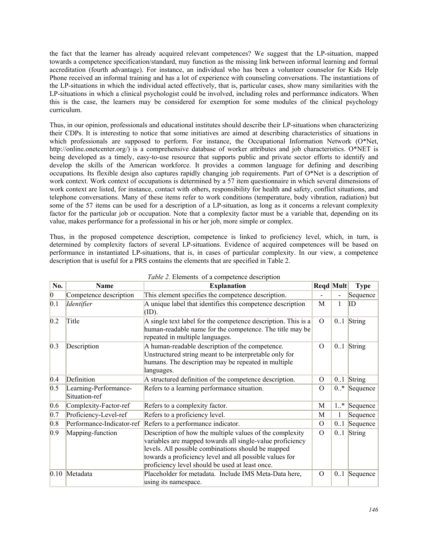the fact that the learner has already acquired relevant competences? We suggest that the LP-situation, mapped towards a competence specification/standard, may function as the missing link between informal learning and formal accreditation (fourth advantage). For instance, an individual who has been a volunteer counselor for Kids Help Phone received an informal training and has a lot of experience with counseling conversations. The instantiations of the LP-situations in which the individual acted effectively, that is, particular cases, show many similarities with the LP-situations in which a clinical psychologist could be involved, including roles and performance indicators. When this is the case, the learners may be considered for exemption for some modules of the clinical psychology curriculum.

Thus, in our opinion, professionals and educational institutes should describe their LP-situations when characterizing their CDPs. It is interesting to notice that some initiatives are aimed at describing characteristics of situations in which professionals are supposed to perform. For instance, the Occupational Information Network (O\*Net, http://online.onetcenter.org/) is a comprehensive database of worker attributes and job characteristics. O\*NET is being developed as a timely, easy-to-use resource that supports public and private sector efforts to identify and develop the skills of the American workforce. It provides a common language for defining and describing occupations. Its flexible design also captures rapidly changing job requirements. Part of O\*Net is a description of work context. Work context of occupations is determined by a 57 item questionnaire in which several dimensions of work context are listed, for instance, contact with others, responsibility for health and safety, conflict situations, and telephone conversations. Many of these items refer to work conditions (temperature, body vibration, radiation) but some of the 57 items can be used for a description of a LP-situation, as long as it concerns a relevant complexity factor for the particular job or occupation. Note that a complexity factor must be a variable that, depending on its value, makes performance for a professional in his or her job, more simple or complex.

Thus, in the proposed competence description, competence is linked to proficiency level, which, in turn, is determined by complexity factors of several LP-situations. Evidence of acquired competences will be based on performance in instantiated LP-situations, that is, in cases of particular complexity. In our view, a competence description that is useful for a PRS contains the elements that are specified in Table 2.

| No.             | <b>Name</b>                            | <b>Explanation</b>                                                                                                                                                                                                                                                                        | <b>Regd Mult</b> |        | <b>Type</b>    |
|-----------------|----------------------------------------|-------------------------------------------------------------------------------------------------------------------------------------------------------------------------------------------------------------------------------------------------------------------------------------------|------------------|--------|----------------|
| $\vert 0 \vert$ | Competence description                 | This element specifies the competence description.                                                                                                                                                                                                                                        |                  |        | Sequence       |
| 0.1             | Identifier                             | A unique label that identifies this competence description<br>(ID).                                                                                                                                                                                                                       | M                |        | ID             |
| 0.2             | Title                                  | A single text label for the competence description. This is a<br>human-readable name for the competence. The title may be<br>repeated in multiple languages.                                                                                                                              | $\Omega$         |        | $0.1$ String   |
| 0.3             | Description                            | A human-readable description of the competence.<br>Unstructured string meant to be interpretable only for<br>humans. The description may be repeated in multiple<br>languages.                                                                                                            | $\Omega$         |        | $0.1$ String   |
| 0.4             | Definition                             | A structured definition of the competence description.                                                                                                                                                                                                                                    | $\Omega$         | 0.1    | String         |
| 0.5             | Learning-Performance-<br>Situation-ref | Refers to a learning performance situation.                                                                                                                                                                                                                                               | $\Omega$         |        | $0.*$ Sequence |
| 0.6             | Complexity-Factor-ref                  | Refers to a complexity factor.                                                                                                                                                                                                                                                            | M                | $1.$ * | Sequence       |
| 0.7             | Proficiency-Level-ref                  | Refers to a proficiency level.                                                                                                                                                                                                                                                            | M                |        | Sequence       |
| 0.8             | Performance-Indicator-ref              | Refers to a performance indicator.                                                                                                                                                                                                                                                        | $\Omega$         | 0.1    | Sequence       |
| $ 0.9\rangle$   | Mapping-function                       | Description of how the multiple values of the complexity<br>variables are mapped towards all single-value proficiency<br>levels. All possible combinations should be mapped<br>towards a proficiency level and all possible values for<br>proficiency level should be used at least once. | $\Omega$         |        | $0.1$ String   |
|                 | $0.10$ Metadata                        | Placeholder for metadata. Include IMS Meta-Data here,<br>using its namespace.                                                                                                                                                                                                             | $\Omega$         |        | $0.1$ Sequence |

*Table 2.* Elements of a competence description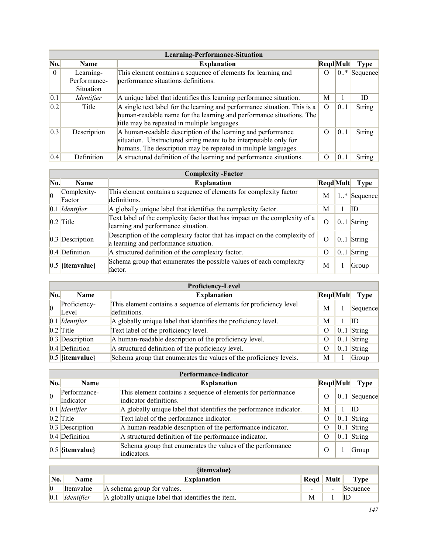|                   | Learning-Performance-Situation                |                                                                                                                                                                                                     |                  |        |               |
|-------------------|-----------------------------------------------|-----------------------------------------------------------------------------------------------------------------------------------------------------------------------------------------------------|------------------|--------|---------------|
| No.               | <b>Name</b>                                   | <b>Explanation</b>                                                                                                                                                                                  | RegdMult         |        | Type          |
| $\Omega$          | Learning-<br>Performance-<br><b>Situation</b> | This element contains a sequence of elements for learning and<br>performance situations definitions.                                                                                                | $\Omega$         | $0.$ * | Sequence      |
| 0.1               | <i>Identifier</i>                             | A unique label that identifies this learning performance situation.                                                                                                                                 | M                |        | ID            |
| 0.2               | Title                                         | A single text label for the learning and performance situation. This is a<br>human-readable name for the learning and performance situations. The<br>title may be repeated in multiple languages.   | $\Omega$         | 0.1    | <b>String</b> |
| $\vert 0.3 \vert$ | Description                                   | A human-readable description of the learning and performance<br>situation. Unstructured string meant to be interpretable only for<br>humans. The description may be repeated in multiple languages. | $\Omega$         | 0.1    | <b>String</b> |
| 0.4               | Definition                                    | A structured definition of the learning and performance situations.                                                                                                                                 | $\left( \right)$ | 0.1    | <b>String</b> |

|           | <b>Complexity -Factor</b> |                                                                                                                    |          |                    |          |
|-----------|---------------------------|--------------------------------------------------------------------------------------------------------------------|----------|--------------------|----------|
| No.       | <b>Name</b>               | <b>Explanation</b>                                                                                                 | RegdMult |                    | Type     |
| $\vert$ 0 | Complexity-<br>Factor     | This element contains a sequence of elements for complexity factor<br>definitions.                                 | M        | $1_{\cdot\cdot}$ * | Sequence |
|           | $0.1$ <i>Identifier</i>   | A globally unique label that identifies the complexity factor.                                                     | M        |                    | ID       |
|           | $0.2$ Title               | Text label of the complexity factor that has impact on the complexity of a<br>learning and performance situation.  | $\Omega$ | 0.1                | String   |
|           | $0.3$ Description         | Description of the complexity factor that has impact on the complexity of<br>a learning and performance situation. | $\Omega$ | 0.1                | String   |
|           | $0.4$ Definition          | A structured definition of the complexity factor.                                                                  | $\Omega$ | $0_{}1$            | String   |
|           | $0.5$ {itemvalue}         | Schema group that enumerates the possible values of each complexity<br>factor.                                     | M        |                    | Group    |

|     | <b>Proficiency-Level</b> |                                                                                    |                 |     |              |  |
|-----|--------------------------|------------------------------------------------------------------------------------|-----------------|-----|--------------|--|
| No. | <b>Name</b>              | <b>Explanation</b>                                                                 | <b>RegdMult</b> |     | <b>Type</b>  |  |
|     | Proficiency-<br>Level    | This element contains a sequence of elements for proficiency level<br>definitions. | M               |     | Sequence     |  |
|     | $0.1$ <i>Identifier</i>  | A globally unique label that identifies the proficiency level.                     | M               |     | ID           |  |
|     | $0.2$ Title              | Text label of the proficiency level.                                               | $\Omega$        |     | $0.1$ String |  |
|     | $0.3$ Description        | A human-readable description of the proficiency level.                             | $\theta$        |     | $0.1$ String |  |
|     | $0.4$ Definition         | A structured definition of the proficiency level.                                  | O               | 0.1 | String       |  |
|     | $0.5$ {itemvalue}        | Schema group that enumerates the values of the proficiency levels.                 | M               |     | Group        |  |

|     | Performance-Indicator         |                                                                                        |                  |  |                |
|-----|-------------------------------|----------------------------------------------------------------------------------------|------------------|--|----------------|
| No. | <b>Name</b>                   | <b>Explanation</b>                                                                     | <b>RegdMult</b>  |  | Type           |
|     | Performance-<br>Indicator     | This element contains a sequence of elements for performance<br>indicator definitions. | $\Omega$         |  | $0.1$ Sequence |
|     | $0.1$ <i>Identifier</i>       | A globally unique label that identifies the performance indicator.                     | М                |  | ID             |
|     | $0.2$ Title                   | Text label of the performance indicator.                                               | $\Omega$         |  | $0.1$ String   |
|     | $0.3$ Description             | A human-readable description of the performance indicator.                             | $\Omega$         |  | $0.1$ String   |
|     | $0.4$ Definition              | A structured definition of the performance indicator.                                  | $\theta$         |  | $0.1$ String   |
|     | $\vert 0.5 \vert$ {itemvalue} | Schema group that enumerates the values of the performance<br>indicators.              | $\left( \right)$ |  | Group          |

|                   | $\{$ itemvalue $\}$ |                                                   |             |                |          |  |
|-------------------|---------------------|---------------------------------------------------|-------------|----------------|----------|--|
| No.               | <b>Name</b>         | <b>Explanation</b>                                | Regd   Mult |                | Type     |  |
|                   | Itemvalue           | A schema group for values.                        | $\sim$      | $\blacksquare$ | Sequence |  |
| $\vert 0.1 \vert$ | Identifier          | A globally unique label that identifies the item. | M           |                |          |  |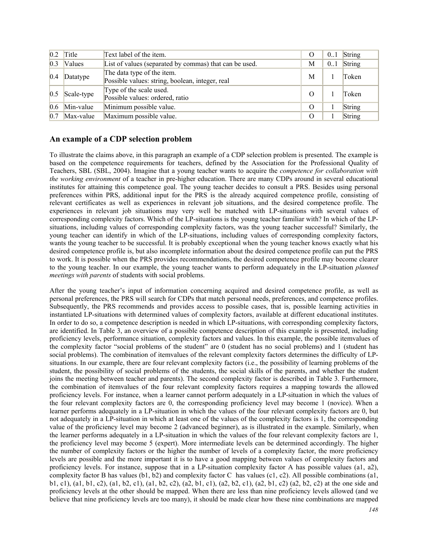| 0.2 | Title         | Text label of the item.                                                       | $\theta$ | 0.1 | String |
|-----|---------------|-------------------------------------------------------------------------------|----------|-----|--------|
| 0.3 | <b>Values</b> | List of values (separated by commas) that can be used.                        | М        | 0.1 | String |
| 0.4 | Datatype      | The data type of the item.<br>Possible values: string, boolean, integer, real | M        |     | Token  |
| 0.5 | Scale-type    | Type of the scale used.<br>Possible values: ordered, ratio                    | $\Omega$ |     | Token  |
| 0.6 | Min-value     | Minimum possible value.                                                       | O        |     | String |
| 0.7 | Max-value     | Maximum possible value.                                                       | O        |     | String |

### **An example of a CDP selection problem**

To illustrate the claims above, in this paragraph an example of a CDP selection problem is presented. The example is based on the competence requirements for teachers, defined by the Association for the Professional Quality of Teachers, SBL (SBL, 2004). Imagine that a young teacher wants to acquire the *competence for collaboration with the working environment* of a teacher in pre-higher education. There are many CDPs around in several educational institutes for attaining this competence goal. The young teacher decides to consult a PRS. Besides using personal preferences within PRS, additional input for the PRS is the already acquired competence profile, consisting of relevant certificates as well as experiences in relevant job situations, and the desired competence profile. The experiences in relevant job situations may very well be matched with LP-situations with several values of corresponding complexity factors. Which of the LP-situations is the young teacher familiar with? In which of the LPsituations, including values of corresponding complexity factors, was the young teacher successful? Similarly, the young teacher can identify in which of the LP-situations, including values of corresponding complexity factors, wants the young teacher to be successful. It is probably exceptional when the young teacher knows exactly what his desired competence profile is, but also incomplete information about the desired competence profile can put the PRS to work. It is possible when the PRS provides recommendations, the desired competence profile may become clearer to the young teacher. In our example, the young teacher wants to perform adequately in the LP-situation *planned meetings with parents* of students with social problems.

After the young teacher's input of information concerning acquired and desired competence profile, as well as personal preferences, the PRS will search for CDPs that match personal needs, preferences, and competence profiles. Subsequently, the PRS recommends and provides access to possible cases, that is, possible learning activities in instantiated LP-situations with determined values of complexity factors, available at different educational institutes. In order to do so, a competence description is needed in which LP-situations, with corresponding complexity factors, are identified. In Table 3, an overview of a possible competence description of this example is presented, including proficiency levels, performance situation, complexity factors and values. In this example, the possible itemvalues of the complexity factor "social problems of the student" are 0 (student has no social problems) and 1 (student has social problems). The combination of itemvalues of the relevant complexity factors determines the difficulty of LPsituations. In our example, there are four relevant complexity factors (i.e., the possibility of learning problems of the student, the possibility of social problems of the students, the social skills of the parents, and whether the student joins the meeting between teacher and parents). The second complexity factor is described in Table 3. Furthermore, the combination of itemvalues of the four relevant complexity factors requires a mapping towards the allowed proficiency levels. For instance, when a learner cannot perform adequately in a LP-situation in which the values of the four relevant complexity factors are 0, the corresponding proficiency level may become 1 (novice). When a learner performs adequately in a LP-situation in which the values of the four relevant complexity factors are 0, but not adequately in a LP-situation in which at least one of the values of the complexity factors is 1, the corresponding value of the proficiency level may become 2 (advanced beginner), as is illustrated in the example. Similarly, when the learner performs adequately in a LP-situation in which the values of the four relevant complexity factors are 1, the proficiency level may become 5 (expert). More intermediate levels can be determined accordingly. The higher the number of complexity factors or the higher the number of levels of a complexity factor, the more proficiency levels are possible and the more important it is to have a good mapping between values of complexity factors and proficiency levels. For instance, suppose that in a LP-situation complexity factor A has possible values (a1, a2), complexity factor B has values  $(b1, b2)$  and complexity factor C has values  $(c1, c2)$ . All possible combinations  $(a1, b2)$ b1, c1), (a1, b1, c2), (a1, b2, c1), (a1, b2, c2), (a2, b1, c1), (a2, b2, c1), (a2, b1, c2) (a2, b2, c2) at the one side and proficiency levels at the other should be mapped. When there are less than nine proficiency levels allowed (and we believe that nine proficiency levels are too many), it should be made clear how these nine combinations are mapped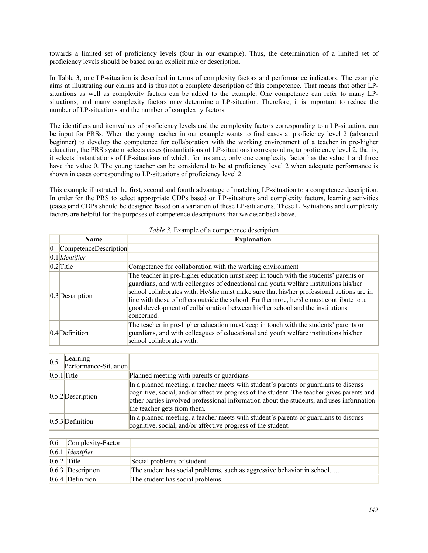towards a limited set of proficiency levels (four in our example). Thus, the determination of a limited set of proficiency levels should be based on an explicit rule or description.

In Table 3, one LP-situation is described in terms of complexity factors and performance indicators. The example aims at illustrating our claims and is thus not a complete description of this competence. That means that other LPsituations as well as complexity factors can be added to the example. One competence can refer to many LPsituations, and many complexity factors may determine a LP-situation. Therefore, it is important to reduce the number of LP-situations and the number of complexity factors.

The identifiers and itemvalues of proficiency levels and the complexity factors corresponding to a LP-situation, can be input for PRSs. When the young teacher in our example wants to find cases at proficiency level 2 (advanced beginner) to develop the competence for collaboration with the working environment of a teacher in pre-higher education, the PRS system selects cases (instantiations of LP-situations) corresponding to proficiency level 2, that is, it selects instantiations of LP-situations of which, for instance, only one complexity factor has the value 1 and three have the value 0. The young teacher can be considered to be at proficiency level 2 when adequate performance is shown in cases corresponding to LP-situations of proficiency level 2.

This example illustrated the first, second and fourth advantage of matching LP-situation to a competence description. In order for the PRS to select appropriate CDPs based on LP-situations and complexity factors, learning activities (cases)and CDPs should be designed based on a variation of these LP-situations. These LP-situations and complexity factors are helpful for the purposes of competence descriptions that we described above.

|                 | <b>Name</b>             | <b>Explanation</b>                                                                                                                                                                                                                                                                                                                                                                                                                                                |
|-----------------|-------------------------|-------------------------------------------------------------------------------------------------------------------------------------------------------------------------------------------------------------------------------------------------------------------------------------------------------------------------------------------------------------------------------------------------------------------------------------------------------------------|
| $\vert 0 \vert$ | CompetenceDescription   |                                                                                                                                                                                                                                                                                                                                                                                                                                                                   |
|                 | $0.1$ <i>Identifier</i> |                                                                                                                                                                                                                                                                                                                                                                                                                                                                   |
|                 | $0.2$ Title             | Competence for collaboration with the working environment                                                                                                                                                                                                                                                                                                                                                                                                         |
|                 | $0.3$ Description       | The teacher in pre-higher education must keep in touch with the students' parents or<br>guardians, and with colleagues of educational and youth welfare institutions his/her<br>school collaborates with. He/she must make sure that his/her professional actions are in<br>line with those of others outside the school. Furthermore, he/she must contribute to a<br>good development of collaboration between his/her school and the institutions<br>concerned. |
|                 | $[0.4]$ Definition      | The teacher in pre-higher education must keep in touch with the students' parents or<br>guardians, and with colleagues of educational and youth welfare institutions his/her<br>school collaborates with.                                                                                                                                                                                                                                                         |

| 0.5 | Learning-<br>Performance-Situation |                                                                                                                                                                                                                                                                                                               |
|-----|------------------------------------|---------------------------------------------------------------------------------------------------------------------------------------------------------------------------------------------------------------------------------------------------------------------------------------------------------------|
|     | $0.5.1$ Title                      | Planned meeting with parents or guardians                                                                                                                                                                                                                                                                     |
|     | $0.5.2$ Description                | In a planned meeting, a teacher meets with student's parents or guardians to discuss<br>cognitive, social, and/or affective progress of the student. The teacher gives parents and<br>other parties involved professional information about the students, and uses information<br>the teacher gets from them. |
|     | $[0.5.3]$ Definition               | In a planned meeting, a teacher meets with student's parents or guardians to discuss<br>cognitive, social, and/or affective progress of the student.                                                                                                                                                          |

| 0.6           | Complexity-Factor         |                                                                         |
|---------------|---------------------------|-------------------------------------------------------------------------|
|               | $0.6.1$ <i>Identifier</i> |                                                                         |
| $0.6.2$ Title |                           | Social problems of student                                              |
|               | $0.6.3$ Description       | The student has social problems, such as aggressive behavior in school, |
|               | $0.6.4$ Definition        | The student has social problems.                                        |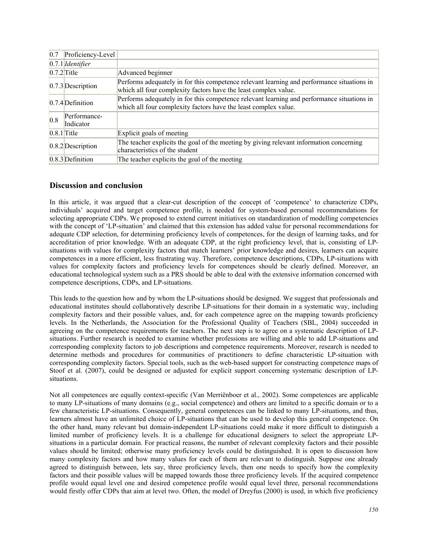| 0.7           | Proficiency-Level         |                                                                                                                                                               |
|---------------|---------------------------|---------------------------------------------------------------------------------------------------------------------------------------------------------------|
|               | $0.7.1$ <i>Identifier</i> |                                                                                                                                                               |
|               | $[0.7.2]$ Title           | Advanced beginner                                                                                                                                             |
|               | $[0.7.3]$ Description     | Performs adequately in for this competence relevant learning and performance situations in<br>which all four complexity factors have the least complex value. |
|               | $[0.7.4]$ Definition      | Performs adequately in for this competence relevant learning and performance situations in<br>which all four complexity factors have the least complex value. |
| 0.8           | Performance-<br>Indicator |                                                                                                                                                               |
| $0.8.1$ Title |                           | Explicit goals of meeting                                                                                                                                     |
|               | $0.8.2$ Description       | The teacher explicits the goal of the meeting by giving relevant information concerning<br>characteristics of the student                                     |
|               | $0.8.3$ Definition        | The teacher explicits the goal of the meeting                                                                                                                 |

# **Discussion and conclusion**

In this article, it was argued that a clear-cut description of the concept of 'competence' to characterize CDPs, individuals' acquired and target competence profile, is needed for system-based personal recommendations for selecting appropriate CDPs. We proposed to extend current initiatives on standardization of modelling competencies with the concept of 'LP-situation' and claimed that this extension has added value for personal recommendations for adequate CDP selection, for determining proficiency levels of competences, for the design of learning tasks, and for accreditation of prior knowledge. With an adequate CDP, at the right proficiency level, that is, consisting of LPsituations with values for complexity factors that match learners' prior knowledge and desires, learners can acquire competences in a more efficient, less frustrating way. Therefore, competence descriptions, CDPs, LP-situations with values for complexity factors and proficiency levels for competences should be clearly defined. Moreover, an educational technological system such as a PRS should be able to deal with the extensive information concerned with competence descriptions, CDPs, and LP-situations.

This leads to the question how and by whom the LP-situations should be designed. We suggest that professionals and educational institutes should collaboratively describe LP-situations for their domain in a systematic way, including complexity factors and their possible values, and, for each competence agree on the mapping towards proficiency levels. In the Netherlands, the Association for the Professional Quality of Teachers (SBL, 2004) succeeded in agreeing on the competence requirements for teachers. The next step is to agree on a systematic description of LPsituations. Further research is needed to examine whether professions are willing and able to add LP-situations and corresponding complexity factors to job descriptions and competence requirements. Moreover, research is needed to determine methods and procedures for communities of practitioners to define characteristic LP-situation with corresponding complexity factors. Special tools, such as the web-based support for constructing competence maps of Stoof et al. (2007), could be designed or adjusted for explicit support concerning systematic description of LPsituations.

Not all competences are equally context-specific (Van Merriënboer et al., 2002). Some competences are applicable to many LP-situations of many domains (e.g., social competence) and others are limited to a specific domain or to a few characteristic LP-situations. Consequently, general competences can be linked to many LP-situations, and thus, learners almost have an unlimited choice of LP-situations that can be used to develop this general competence. On the other hand, many relevant but domain-independent LP-situations could make it more difficult to distinguish a limited number of proficiency levels. It is a challenge for educational designers to select the appropriate LPsituations in a particular domain. For practical reasons, the number of relevant complexity factors and their possible values should be limited; otherwise many proficiency levels could be distinguished. It is open to discussion how many complexity factors and how many values for each of them are relevant to distinguish. Suppose one already agreed to distinguish between, lets say, three proficiency levels, then one needs to specify how the complexity factors and their possible values will be mapped towards those three proficiency levels. If the acquired competence profile would equal level one and desired competence profile would equal level three, personal recommendations would firstly offer CDPs that aim at level two. Often, the model of Dreyfus (2000) is used, in which five proficiency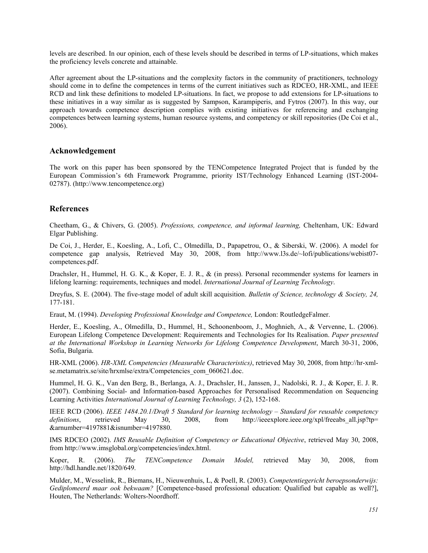levels are described. In our opinion, each of these levels should be described in terms of LP-situations, which makes the proficiency levels concrete and attainable.

After agreement about the LP-situations and the complexity factors in the community of practitioners, technology should come in to define the competences in terms of the current initiatives such as RDCEO, HR-XML, and IEEE RCD and link these definitions to modeled LP-situations. In fact, we propose to add extensions for LP-situations to these initiatives in a way similar as is suggested by Sampson, Karampiperis, and Fytros (2007). In this way, our approach towards competence description complies with existing initiatives for referencing and exchanging competences between learning systems, human resource systems, and competency or skill repositories (De Coi et al., 2006).

### **Acknowledgement**

The work on this paper has been sponsored by the TENCompetence Integrated Project that is funded by the European Commission's 6th Framework Programme, priority IST/Technology Enhanced Learning (IST-2004- 02787). (http://www.tencompetence.org)

# **References**

Cheetham, G., & Chivers, G. (2005). *Professions, competence, and informal learning,* Cheltenham, UK: Edward Elgar Publishing.

De Coi, J., Herder, E., Koesling, A., Lofi, C., Olmedilla, D., Papapetrou, O., & Siberski, W. (2006). A model for competence gap analysis, Retrieved May 30, 2008, from http://www.l3s.de/~lofi/publications/webist07 competences.pdf.

Drachsler, H., Hummel, H. G. K., & Koper, E. J. R., & (in press). Personal recommender systems for learners in lifelong learning: requirements, techniques and model. *International Journal of Learning Technology*.

Dreyfus, S. E. (2004). The five-stage model of adult skill acquisition. *Bulletin of Science, technology & Society, 24,*  177-181.

Eraut, M. (1994). *Developing Professional Knowledge and Competence,* London: RoutledgeFalmer.

Herder, E., Koesling, A., Olmedilla, D., Hummel, H., Schoonenboom, J., Moghnieh, A., & Vervenne, L. (2006). European Lifelong Competence Development: Requirements and Technologies for Its Realisation. *Paper presented at the International Workshop in Learning Networks for Lifelong Competence Development*, March 30-31, 2006, Sofia, Bulgaria.

HR-XML (2006). *HR-XML Competencies (Measurable Characteristics)*, retrieved May 30, 2008, from http://hr-xmlse.metamatrix.se/site/hrxmlse/extra/Competencies\_com\_060621.doc.

Hummel, H. G. K., Van den Berg, B., Berlanga, A. J., Drachsler, H., Janssen, J., Nadolski, R. J., & Koper, E. J. R. (2007). Combining Social- and Information-based Approaches for Personalised Recommendation on Sequencing Learning Activities *International Journal of Learning Technology, 3* (2), 152-168.

IEEE RCD (2006). *IEEE 1484.20.1/Draft 5 Standard for learning technology – Standard for reusable competency definitions*, retrieved May 30, 2008, from http://ieeexplore.ieee.org/xpl/freeabs\_all.jsp?tp= &arnumber=4197881&isnumber=4197880.

IMS RDCEO (2002). *IMS Reusable Definition of Competency or Educational Objective*, retrieved May 30, 2008, from http://www.imsglobal.org/competencies/index.html.

Koper, R. (2006). *The TENCompetence Domain Model,* retrieved May 30, 2008, from http://hdl.handle.net/1820/649.

Mulder, M., Wesselink, R., Biemans, H., Nieuwenhuis, L, & Poell, R. (2003). *Competentiegericht beroepsonderwijs: Gediplomeerd maar ook bekwaam?* [Competence-based professional education: Qualified but capable as well?], Houten, The Netherlands: Wolters-Noordhoff.